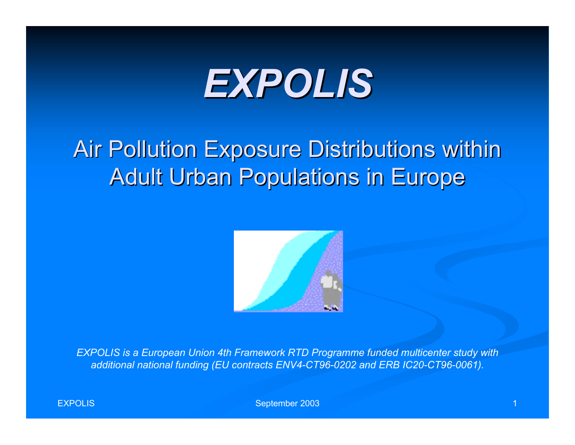# *EXPOLIS EXPOLIS*

### Air Pollution Exposure Distributions within **Adult Urban Populations in Europe**



*EXPOLIS is a European Union 4th Framework RTD Programme funded multicenter study with additional national funding (EU contracts ENV4-CT96-0202 and ERB IC20-CT96-0061).*

September 2003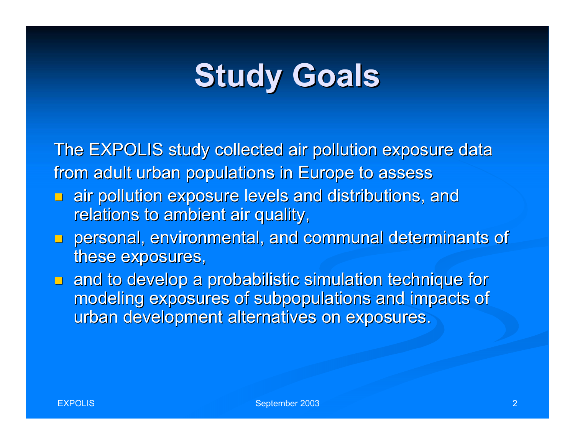## **Study Goals**

The EXPOLIS study collected air pollution exposure data from adult urban populations in Europe to assess

- $\Box$  air pollution exposure levels and distributions, and relations to ambient air quality,
- **Personal, environmental, and communal determinants of** these exposures,
- $\blacksquare$  and to develop a probabilistic simulation technique for modeling exposures of subpopulations and impacts of urban development alternatives on exposures.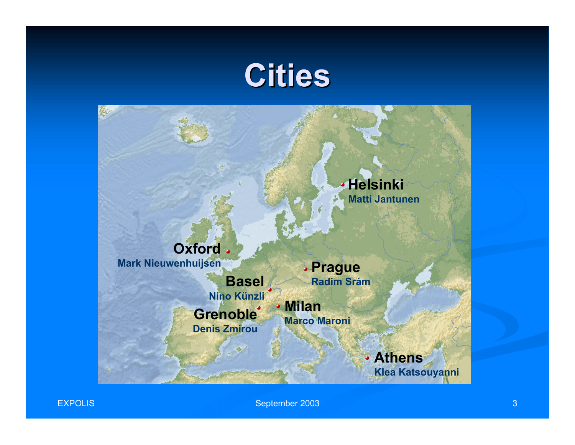### **Cities**





EXPOLIS

September 2003 3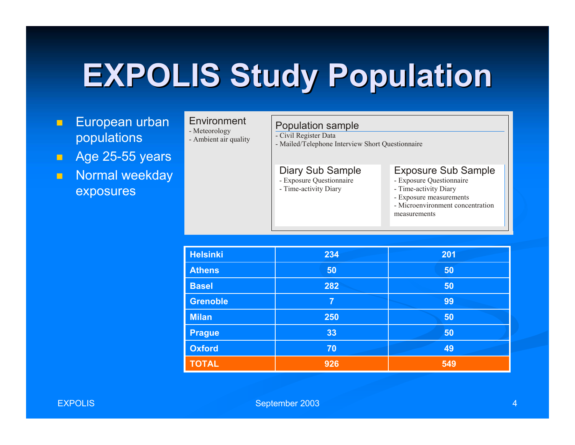## **EXPOLIS Study Population EXPOLIS Study Population**

- $\blacksquare$  European urban populations
- **Age 25-55 years**
- $\blacksquare$  Normal weekday exposures

| Environment |  |  |  |  |
|-------------|--|--|--|--|
|             |  |  |  |  |

- Meteorology
- Ambient air quality

#### Population sample

- Civil Register Data

- Mailed/Telephone Interview Short Questionnaire

#### Diary Sub Sample

- Exposure Questionnaire
- Time-activity Diary

#### Exposure Sub Sample

- Exposure Questionnaire
- Time-activity Diary
- Exposure measurements
- Microenvironment concentration measurements

| <b>Helsinki</b> | 234            | 201 |
|-----------------|----------------|-----|
| <b>Athens</b>   | 50             | 50  |
| <b>Basel</b>    | 282            | 50  |
| <b>Grenoble</b> | $\overline{7}$ | 99  |
| <b>Milan</b>    | 250            | 50  |
| <b>Prague</b>   | 33             | 50  |
| <b>Oxford</b>   | 70             | 49  |
| <b>TOTAL</b>    | 926            | 549 |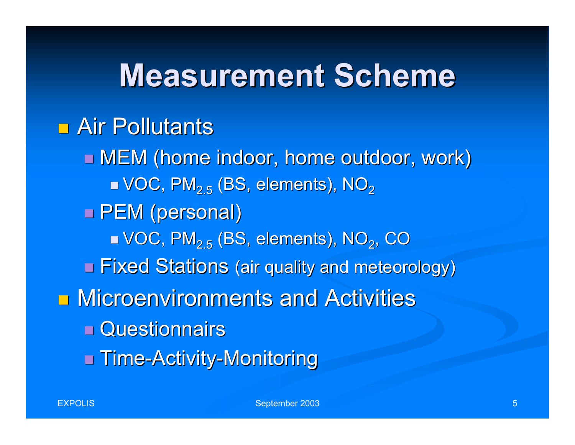### **Measurement Scheme Measurement Scheme**

### $\blacksquare$  Air Pollutants

 $\blacksquare$  MEM (home indoor, home outdoor, work)  $\blacksquare$  VOC, PM $_{2.5}$  (BS, elements), NO $_2$ □ PEM (personal)  $\blacksquare$  VOC, PM $_{2.5}$  (BS, elements), NO $_2$ , CO **E** Fixed Stations (air quality and meteorology) **<u>E</u>** Microenvironments and Activities **□ Questionnairs** ■ Time-Activity-Monitoring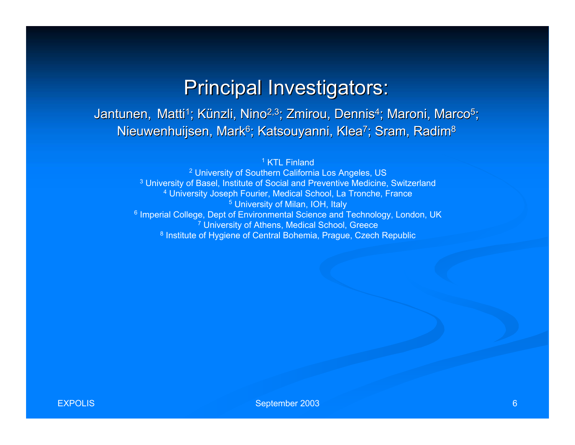#### **Principal Investigators:**

Jantunen, Matti<sup>1</sup>; Künzli, Nino<sup>2,3</sup>; Zmirou, Dennis<sup>4</sup>; Maroni, Marco<sup>5</sup>; Nieuwenhuijsen, Mark<sup>6</sup>; Katsouyanni, Klea<sup>7</sup>; Sram, Radim<sup>8</sup>

1 KTL Finland

<sup>2</sup> University of Southern California Los Angeles, US <sup>3</sup> University of Basel, Institute of Social and Preventive Medicine, Switzerland 4 University Joseph Fourier, Medical School, La Tronche, France <sup>5</sup> University of Milan, IOH, Italy <sup>6</sup> Imperial College, Dept of Environmental Science and Technology, London, UK <sup>7</sup> University of Athens, Medical School, Greece <sup>8</sup> Institute of Hygiene of Central Bohemia, Prague, Czech Republic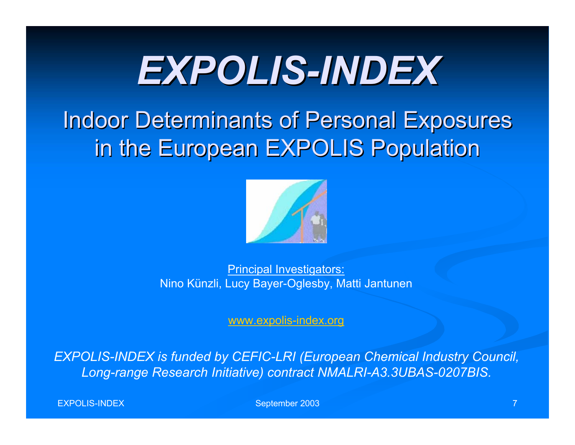# *EXPOLIS EXPOLIS-INDEX*

### **Indoor Determinants of Personal Exposures** in the European EXPOLIS Population



Principal Investigators: Nino Künzli, Lucy Bayer-Oglesby, Matti Jantunen

www.expolis-index.org

*EXPOLIS-INDEX is funded by CEFIC-LRI (European Chemical Industry Council, Long-range Research Initiative) contract NMALRI-A3.3UBAS-0207BIS.*

EXPOLIS-INDEX

September 2003 **7** 2003 **7**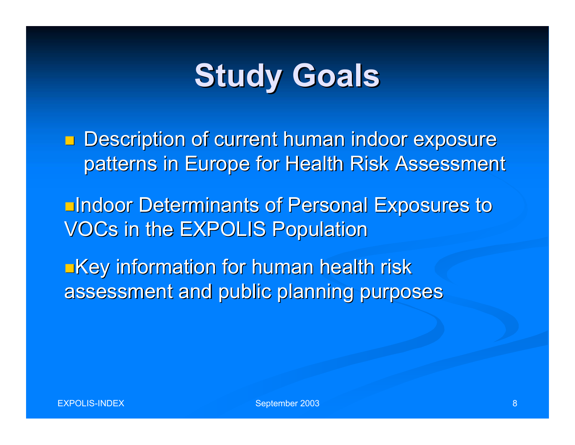## **Study Goals**

**Description of current human indoor exposure** patterns in Europe for Health Risk Assessment

Indoor Determinants of Personal Exposures to Indoor Determinants of Personal Exposures to VOCs in the EXPOLIS Population

**Exage information for human health risk** assessment and public planning purposes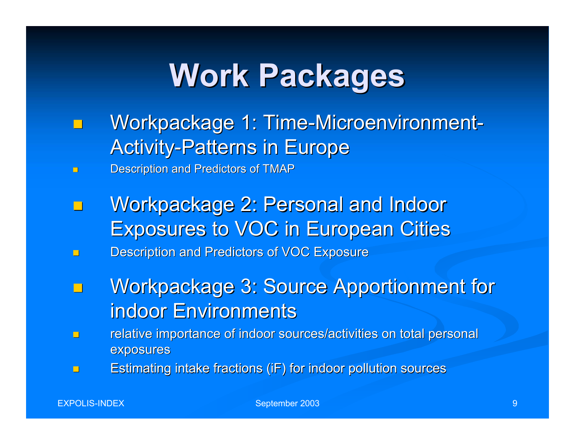## **Work Packages Work Packages**

- $\Box$ Workpackage 1: Time-Microenvironment-**Activity-Patterns in Europe**
- $\blacksquare$ Description and Predictors of TMAP
- $\Box$ Workpackage 2: Personal and Indoor **Exposures to VOC in European Cities**
- $\Box$ Description and Predictors of VOC Exposure
- $\Box$ Workpackage 3: Source Apportionment for indoor Environments
- $\Box$ relative importance of indoor sources/activities on total personal exposures
- $\Box$ Estimating intake fractions (iF) for indoor pollution sources

September 2003 **9 Page 2003** 9 Page 2003 1 Page 2003 1 Page 2004 1 Page 2004 1 Page 2004 1 Page 2004 1 Page 2004 1 Page 2004 1 Page 2004 1 Page 2004 1 Page 2004 1 Page 2004 1 Page 2004 1 Page 2004 1 Page 2004 1 Page 2004 1